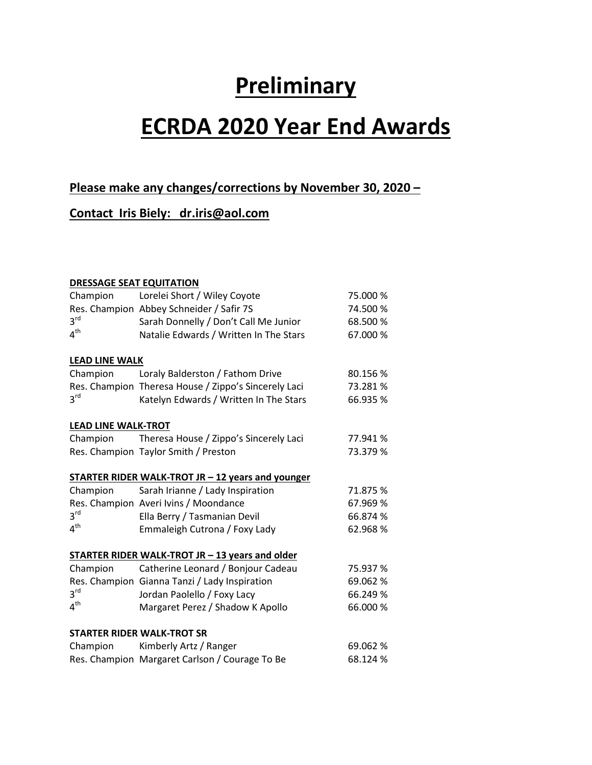# **Preliminary**

# **ECRDA 2020 Year End Awards**

# **Please make any changes/corrections by November 30, 2020 –**

# **Contact Iris Biely: dr.iris@aol.com**

#### **DRESSAGE SEAT EQUITATION**

| Champion                   | Lorelei Short / Wiley Coyote                             | 75.000 % |
|----------------------------|----------------------------------------------------------|----------|
|                            | Res. Champion Abbey Schneider / Safir 7S                 | 74.500 % |
| 3 <sup>rd</sup>            | Sarah Donnelly / Don't Call Me Junior                    | 68.500 % |
| 4 <sup>th</sup>            | Natalie Edwards / Written In The Stars                   | 67.000 % |
| <b>LEAD LINE WALK</b>      |                                                          |          |
| Champion                   | Loraly Balderston / Fathom Drive                         | 80.156 % |
|                            | Res. Champion Theresa House / Zippo's Sincerely Laci     | 73.281 % |
| $3^{\text{rd}}$            | Katelyn Edwards / Written In The Stars                   | 66.935 % |
| <b>LEAD LINE WALK-TROT</b> |                                                          |          |
| Champion                   | Theresa House / Zippo's Sincerely Laci                   | 77.941 % |
|                            | Res. Champion Taylor Smith / Preston                     | 73.379 % |
|                            | <b>STARTER RIDER WALK-TROT JR - 12 years and younger</b> |          |
| Champion                   | Sarah Irianne / Lady Inspiration                         | 71.875 % |
|                            | Res. Champion Averi Ivins / Moondance                    | 67.969 % |
| 3 <sup>rd</sup>            | Ella Berry / Tasmanian Devil                             | 66.874 % |
| 4 <sup>th</sup>            | Emmaleigh Cutrona / Foxy Lady                            | 62.968%  |
|                            | STARTER RIDER WALK-TROT JR - 13 years and older          |          |
| Champion                   | Catherine Leonard / Bonjour Cadeau                       | 75.937 % |
|                            | Res. Champion Gianna Tanzi / Lady Inspiration            | 69.062 % |
| 3 <sup>rd</sup>            | Jordan Paolello / Foxy Lacy                              | 66.249 % |
| $4^{\text{th}}$            | Margaret Perez / Shadow K Apollo                         | 66.000 % |
|                            | <b>STARTER RIDER WALK-TROT SR</b>                        |          |
| Champion                   | Kimberly Artz / Ranger                                   | 69.062 % |
|                            | Res. Champion Margaret Carlson / Courage To Be           | 68.124 % |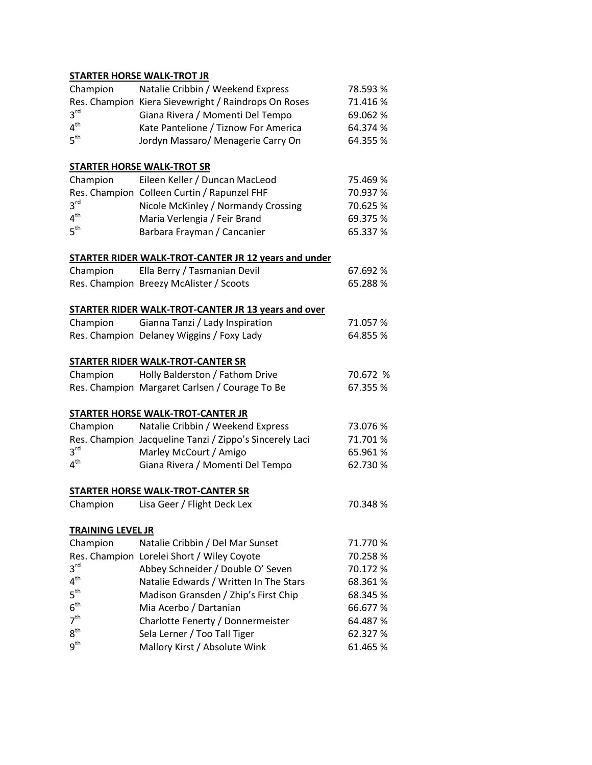## **STARTER HORSE WALK-TROT JR**

| Champion                 | Natalie Cribbin / Weekend Express                           | 78.593 % |
|--------------------------|-------------------------------------------------------------|----------|
|                          | Res. Champion Kiera Sievewright / Raindrops On Roses        | 71.416 % |
| $3^{\text{rd}}$          | Giana Rivera / Momenti Del Tempo                            | 69.062 % |
| $4^{\text{th}}$          | Kate Pantelione / Tiznow For America                        | 64.374 % |
| $5^{\text{th}}$          | Jordyn Massaro/ Menagerie Carry On                          | 64.355 % |
|                          | <u>STARTER HORSE WALK-TROT SR</u>                           |          |
| Champion                 | Eileen Keller / Duncan MacLeod                              | 75.469 % |
|                          | Res. Champion Colleen Curtin / Rapunzel FHF                 | 70.937 % |
| $3^{\text{rd}}$          | Nicole McKinley / Normandy Crossing                         | 70.625 % |
| $4^{\text{th}}$          | Maria Verlengia / Feir Brand                                | 69.375 % |
| $5^{\text{th}}$          | Barbara Frayman / Cancanier                                 | 65.337 % |
|                          | <b>STARTER RIDER WALK-TROT-CANTER JR 12 years and under</b> |          |
| Champion                 | Ella Berry / Tasmanian Devil                                | 67.692 % |
|                          | Res. Champion Breezy McAlister / Scoots                     | 65.288 % |
|                          | <b>STARTER RIDER WALK-TROT-CANTER JR 13 years and over</b>  |          |
| Champion                 | Gianna Tanzi / Lady Inspiration                             | 71.057%  |
|                          | Res. Champion Delaney Wiggins / Foxy Lady                   | 64.855 % |
|                          | <u>STARTER RIDER WALK-TROT-CANTER SR</u>                    |          |
| Champion                 | Holly Balderston / Fathom Drive                             | 70.672 % |
|                          | Res. Champion Margaret Carlsen / Courage To Be              | 67.355 % |
|                          | <u>STARTER HORSE WALK-TROT-CANTER JR</u>                    |          |
| Champion                 | Natalie Cribbin / Weekend Express                           | 73.076 % |
|                          | Res. Champion Jacqueline Tanzi / Zippo's Sincerely Laci     | 71.701%  |
| $3^{\text{rd}}$          | Marley McCourt / Amigo                                      | 65.961%  |
| $4^{\mathsf{th}}$        | Giana Rivera / Momenti Del Tempo                            | 62.730 % |
|                          | STARTER HORSE WALK-TROT-CANTER SR                           |          |
| Champion                 | Lisa Geer / Flight Deck Lex                                 | 70.348 % |
| <b>TRAINING LEVEL JR</b> |                                                             |          |
| Champion                 | Natalie Cribbin / Del Mar Sunset                            | 71.770 % |
|                          | Res. Champion Lorelei Short / Wiley Coyote                  | 70.258%  |
| $3^{\text{rd}}$          | Abbey Schneider / Double O' Seven                           | 70.172 % |
| $4^{\mathsf{th}}$        | Natalie Edwards / Written In The Stars                      | 68.361%  |
| $5^{\sf th}$             | Madison Gransden / Zhip's First Chip                        | 68.345 % |
| $6^{\sf th}$             | Mia Acerbo / Dartanian                                      | 66.677 % |
| 7 <sup>th</sup>          | Charlotte Fenerty / Donnermeister                           | 64.487 % |
| $8^{\sf th}$             | Sela Lerner / Too Tall Tiger                                | 62.327 % |
| $9^{\sf th}$             | Mallory Kirst / Absolute Wink                               | 61.465 % |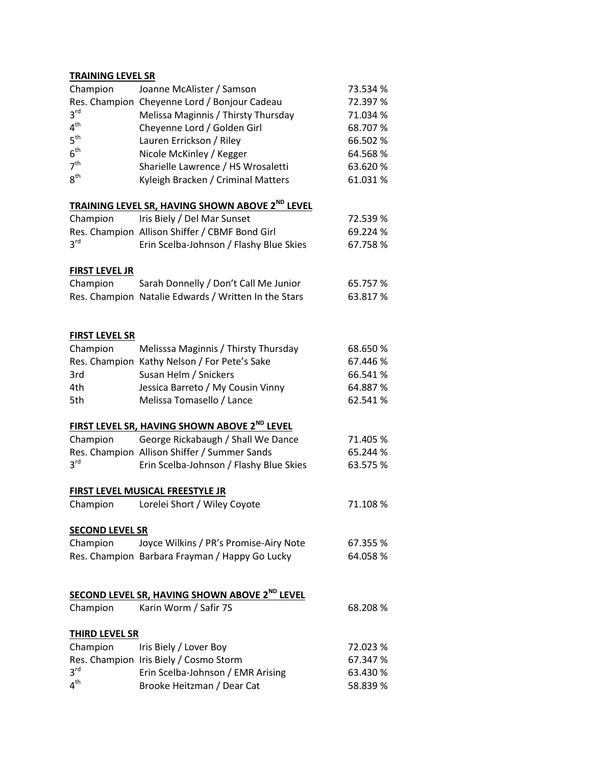#### **TRAINING LEVEL SR**

| Champion               | Joanne McAlister / Samson                                       | 73.534 % |
|------------------------|-----------------------------------------------------------------|----------|
|                        | Res. Champion Cheyenne Lord / Bonjour Cadeau                    | 72.397 % |
| 3 <sup>rd</sup>        | Melissa Maginnis / Thirsty Thursday                             | 71.034 % |
| 4 <sup>th</sup>        | Cheyenne Lord / Golden Girl                                     | 68.707 % |
| 5 <sup>th</sup>        | Lauren Errickson / Riley                                        | 66.502 % |
| $6^{\text{th}}$        | Nicole McKinley / Kegger                                        | 64.568%  |
| 7 <sup>th</sup>        | Sharielle Lawrence / HS Wrosaletti                              | 63.620 % |
| 8 <sup>th</sup>        | Kyleigh Bracken / Criminal Matters                              | 61.031%  |
|                        | TRAINING LEVEL SR, HAVING SHOWN ABOVE 2ND LEVEL                 |          |
| Champion               | Iris Biely / Del Mar Sunset                                     | 72.539 % |
|                        | Res. Champion Allison Shiffer / CBMF Bond Girl                  | 69.224 % |
| 3 <sup>rd</sup>        | Erin Scelba-Johnson / Flashy Blue Skies                         | 67.758 % |
| <b>FIRST LEVEL JR</b>  |                                                                 |          |
| Champion               | Sarah Donnelly / Don't Call Me Junior                           | 65.757 % |
|                        | Res. Champion Natalie Edwards / Written In the Stars            | 63.817 % |
| <b>FIRST LEVEL SR</b>  |                                                                 |          |
| Champion               | Melisssa Maginnis / Thirsty Thursday                            | 68.650 % |
|                        | Res. Champion Kathy Nelson / For Pete's Sake                    | 67.446 % |
| 3rd                    | Susan Helm / Snickers                                           | 66.541 % |
| 4th                    | Jessica Barreto / My Cousin Vinny                               | 64.887 % |
| 5th                    | Melissa Tomasello / Lance                                       | 62.541%  |
|                        |                                                                 |          |
|                        | FIRST LEVEL SR, HAVING SHOWN ABOVE 2 <sup>ND</sup> LEVEL        |          |
| Champion               | George Rickabaugh / Shall We Dance                              | 71.405 % |
|                        | Res. Champion Allison Shiffer / Summer Sands                    | 65.244 % |
| $3^{\text{rd}}$        | Erin Scelba-Johnson / Flashy Blue Skies                         | 63.575 % |
|                        | FIRST LEVEL MUSICAL FREESTYLE JR                                |          |
| Champion               | Lorelei Short / Wiley Coyote                                    | 71.108 % |
| <b>SECOND LEVEL SR</b> |                                                                 |          |
| Champion               | Joyce Wilkins / PR's Promise-Airy Note                          | 67.355 % |
|                        | Res. Champion Barbara Frayman / Happy Go Lucky                  | 64.058 % |
|                        | <b>SECOND LEVEL SR, HAVING SHOWN ABOVE 2<sup>ND</sup> LEVEL</b> |          |
| Champion               | Karin Worm / Safir 7S                                           | 68.208 % |
|                        |                                                                 |          |
| <b>THIRD LEVEL SR</b>  |                                                                 |          |
| Champion               | Iris Biely / Lover Boy                                          | 72.023 % |
|                        | Res. Champion Iris Biely / Cosmo Storm                          | 67.347 % |
| $3^{\text{rd}}$        | Erin Scelba-Johnson / EMR Arising                               | 63.430 % |
| 4 <sup>th</sup>        | Brooke Heitzman / Dear Cat                                      | 58.839 % |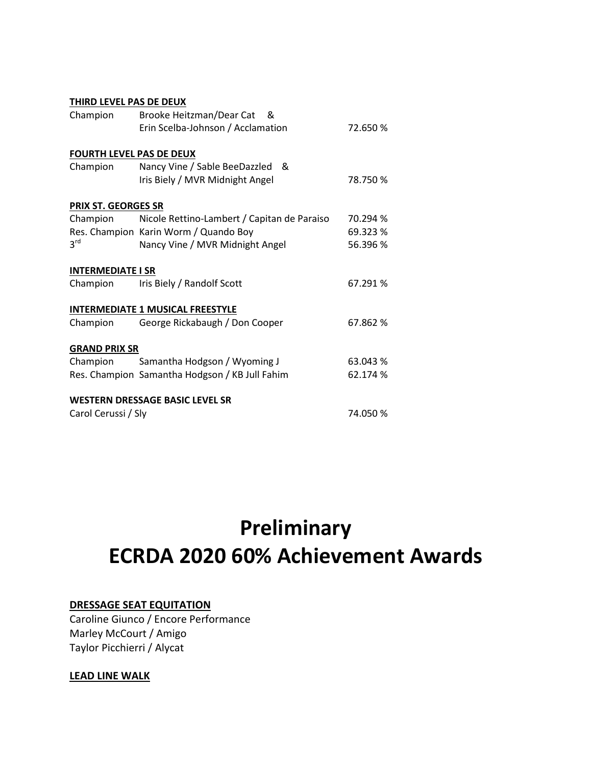| THIRD LEVEL PAS DE DEUX         |                                                |          |
|---------------------------------|------------------------------------------------|----------|
| Champion                        | Brooke Heitzman/Dear Cat<br>୍ଷ &               |          |
|                                 | Erin Scelba-Johnson / Acclamation              | 72.650 % |
| <b>FOURTH LEVEL PAS DE DEUX</b> |                                                |          |
| Champion                        | Nancy Vine / Sable BeeDazzled<br>&             |          |
|                                 | Iris Biely / MVR Midnight Angel                | 78.750 % |
| PRIX ST. GEORGES SR             |                                                |          |
| Champion                        | Nicole Rettino-Lambert / Capitan de Paraiso    | 70.294 % |
|                                 | Res. Champion Karin Worm / Quando Boy          | 69.323 % |
| $3^{\text{rd}}$                 | Nancy Vine / MVR Midnight Angel                | 56.396 % |
| <b>INTERMEDIATE I SR</b>        |                                                |          |
| Champion                        | Iris Biely / Randolf Scott                     | 67.291 % |
|                                 | <b>INTERMEDIATE 1 MUSICAL FREESTYLE</b>        |          |
| Champion                        | George Rickabaugh / Don Cooper                 | 67.862 % |
| <b>GRAND PRIX SR</b>            |                                                |          |
| Champion                        | Samantha Hodgson / Wyoming J                   | 63.043 % |
|                                 | Res. Champion Samantha Hodgson / KB Jull Fahim | 62.174 % |
|                                 | <b>WESTERN DRESSAGE BASIC LEVEL SR</b>         |          |
| Carol Cerussi / Sly             |                                                | 74.050 % |

# **Preliminary ECRDA 2020 60% Achievement Awards**

## **DRESSAGE SEAT EQUITATION**

Caroline Giunco / Encore Performance Marley McCourt / Amigo Taylor Picchierri / Alycat

# **LEAD LINE WALK**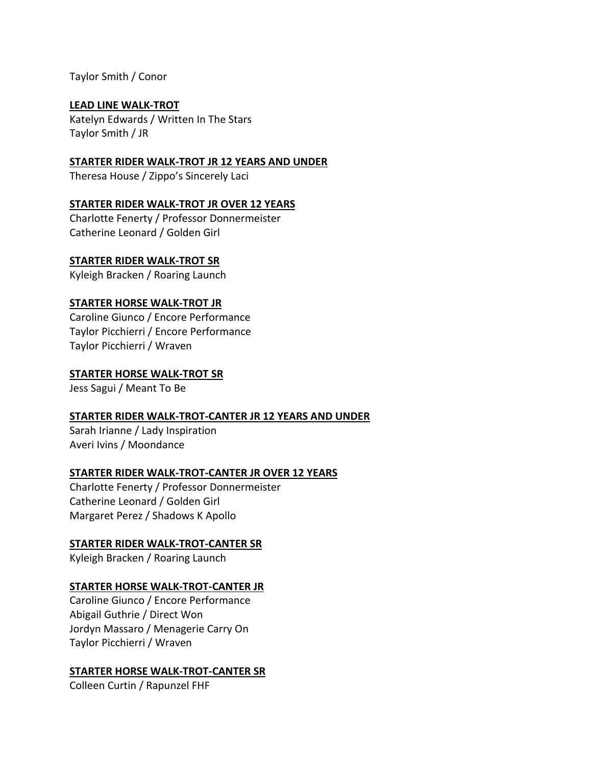Taylor Smith / Conor

## **LEAD LINE WALK-TROT**

Katelyn Edwards / Written In The Stars Taylor Smith / JR

# **STARTER RIDER WALK-TROT JR 12 YEARS AND UNDER**

Theresa House / Zippo's Sincerely Laci

# **STARTER RIDER WALK-TROT JR OVER 12 YEARS**

Charlotte Fenerty / Professor Donnermeister Catherine Leonard / Golden Girl

## **STARTER RIDER WALK-TROT SR**

Kyleigh Bracken / Roaring Launch

# **STARTER HORSE WALK-TROT JR**

Caroline Giunco / Encore Performance Taylor Picchierri / Encore Performance Taylor Picchierri / Wraven

## **STARTER HORSE WALK-TROT SR**

Jess Sagui / Meant To Be

## **STARTER RIDER WALK-TROT-CANTER JR 12 YEARS AND UNDER**

Sarah Irianne / Lady Inspiration Averi Ivins / Moondance

## **STARTER RIDER WALK-TROT-CANTER JR OVER 12 YEARS**

Charlotte Fenerty / Professor Donnermeister Catherine Leonard / Golden Girl Margaret Perez / Shadows K Apollo

# **STARTER RIDER WALK-TROT-CANTER SR**

Kyleigh Bracken / Roaring Launch

# **STARTER HORSE WALK-TROT-CANTER JR**

Caroline Giunco / Encore Performance Abigail Guthrie / Direct Won Jordyn Massaro / Menagerie Carry On Taylor Picchierri / Wraven

# **STARTER HORSE WALK-TROT-CANTER SR**

Colleen Curtin / Rapunzel FHF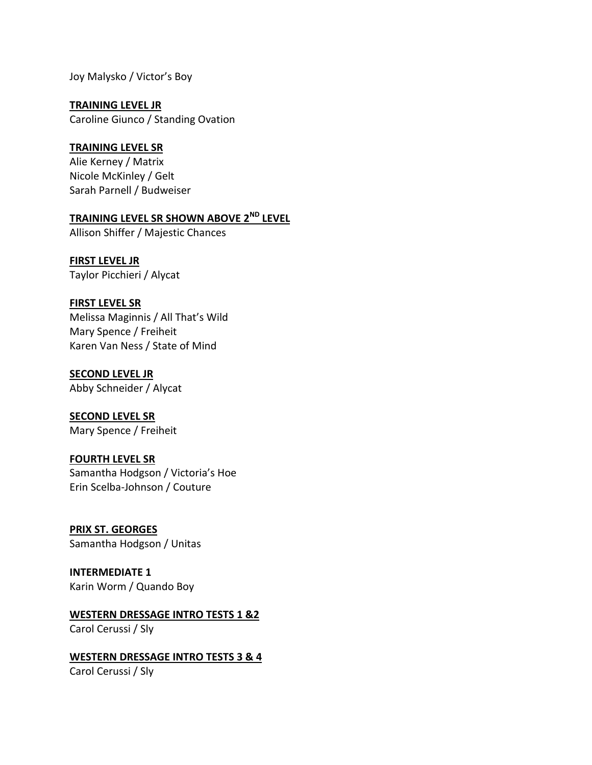Joy Malysko / Victor's Boy

**TRAINING LEVEL JR** Caroline Giunco / Standing Ovation

## **TRAINING LEVEL SR**

Alie Kerney / Matrix Nicole McKinley / Gelt Sarah Parnell / Budweiser

# **TRAINING LEVEL SR SHOWN ABOVE 2ND LEVEL**

Allison Shiffer / Majestic Chances

**FIRST LEVEL JR** Taylor Picchieri / Alycat

## **FIRST LEVEL SR**

Melissa Maginnis / All That's Wild Mary Spence / Freiheit Karen Van Ness / State of Mind

#### **SECOND LEVEL JR**

Abby Schneider / Alycat

**SECOND LEVEL SR** Mary Spence / Freiheit

## **FOURTH LEVEL SR**

Samantha Hodgson / Victoria's Hoe Erin Scelba-Johnson / Couture

**PRIX ST. GEORGES** Samantha Hodgson / Unitas

# **INTERMEDIATE 1**

Karin Worm / Quando Boy

#### **WESTERN DRESSAGE INTRO TESTS 1 &2** Carol Cerussi / Sly

## **WESTERN DRESSAGE INTRO TESTS 3 & 4**

Carol Cerussi / Sly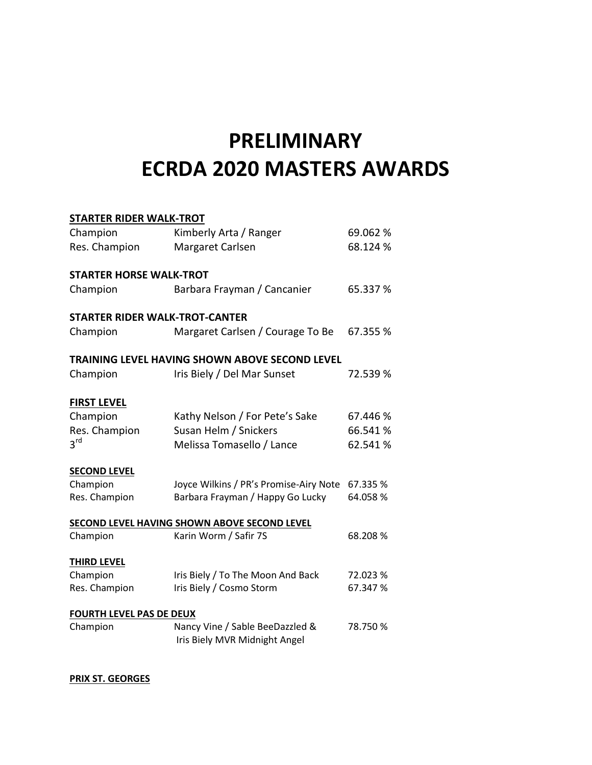# **PRELIMINARY ECRDA 2020 MASTERS AWARDS**

| <b>STARTER RIDER WALK-TROT</b>                 |                                                                  |          |  |
|------------------------------------------------|------------------------------------------------------------------|----------|--|
| Champion                                       | Kimberly Arta / Ranger                                           | 69.062 % |  |
| Res. Champion                                  | Margaret Carlsen                                                 | 68.124 % |  |
| <b>STARTER HORSE WALK-TROT</b>                 |                                                                  |          |  |
| Champion                                       | Barbara Frayman / Cancanier                                      | 65.337 % |  |
| <b>STARTER RIDER WALK-TROT-CANTER</b>          |                                                                  |          |  |
| Champion                                       | Margaret Carlsen / Courage To Be                                 | 67.355 % |  |
| TRAINING LEVEL HAVING SHOWN ABOVE SECOND LEVEL |                                                                  |          |  |
| Champion                                       | Iris Biely / Del Mar Sunset                                      | 72.539 % |  |
| <b>FIRST LEVEL</b>                             |                                                                  |          |  |
| Champion                                       | Kathy Nelson / For Pete's Sake                                   | 67.446 % |  |
| Res. Champion                                  | Susan Helm / Snickers                                            | 66.541%  |  |
| 3 <sup>rd</sup>                                | Melissa Tomasello / Lance                                        | 62.541%  |  |
| <b>SECOND LEVEL</b>                            |                                                                  |          |  |
| Champion                                       | Joyce Wilkins / PR's Promise-Airy Note                           | 67.335 % |  |
| Res. Champion                                  | Barbara Frayman / Happy Go Lucky                                 | 64.058 % |  |
|                                                | SECOND LEVEL HAVING SHOWN ABOVE SECOND LEVEL                     |          |  |
| Champion                                       | Karin Worm / Safir 7S                                            | 68.208 % |  |
| <b>THIRD LEVEL</b>                             |                                                                  |          |  |
| Champion                                       | Iris Biely / To The Moon And Back                                | 72.023 % |  |
| Res. Champion                                  | Iris Biely / Cosmo Storm                                         | 67.347 % |  |
| <b>FOURTH LEVEL PAS DE DEUX</b>                |                                                                  |          |  |
| Champion                                       | Nancy Vine / Sable BeeDazzled &<br>Iris Biely MVR Midnight Angel | 78.750 % |  |

**PRIX ST. GEORGES**